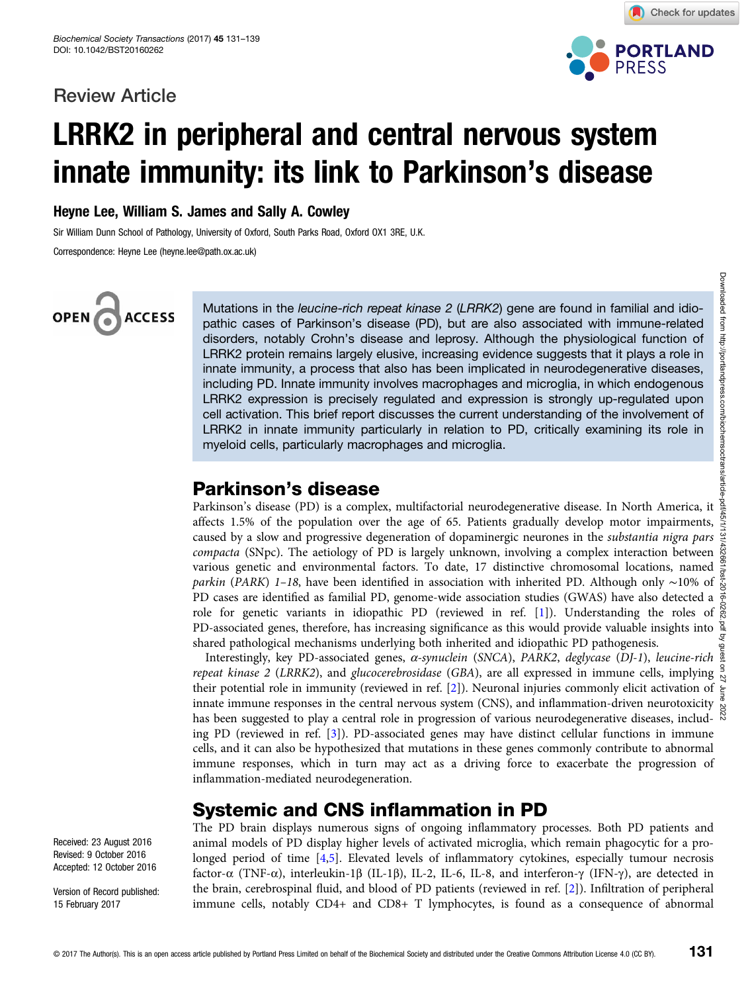### Review Article



Check for updates

# LRRK2 in peripheral and central nervous system innate immunity: its link to Parkinson's disease

Heyne Lee, William S. James and Sally A. Cowley

Sir William Dunn School of Pathology, University of Oxford, South Parks Road, Oxford OX1 3RE, U.K.

Correspondence: Heyne Lee (heyne.lee@path.ox.ac.uk)

# OPEN<sub>C</sub> **ACCESS**

Mutations in the *leucine-rich repeat kinase 2 (LRRK2*) gene are found in familial and idio-<br>pathic cases of Parkinson's disease (PD), but are also associated with immune-related disorders, notably Crohn's disease and leprosy. Although the physiological function of LRRK2 protein remains largely elusive, increasing evidence suggests that it plays a role in innate immunity, a process that also has been implicated in neurodegenerative diseases, including PD. Innate immunity involves macrophages and microglia, in which endogenous LRRK2 expression is precisely regulated and expression is strongly up-regulated upon cell activation. This brief report discusses the current understanding of the involvement of LRRK2 in innate immunity particularly in relation to PD, critically examining its role in myeloid cells, particularly macrophages and microglia.

# Parkinson's disease

Parkinson's disease (PD) is a complex, multifactorial neurodegenerative disease. In North America, it affects 1.5% of the population over the age of 65. Patients gradually develop motor impairments, caused by a slow and progressive degeneration of dopaminergic neurones in the substantia nigra pars compacta (SNpc). The aetiology of PD is largely unknown, involving a complex interaction between  $\frac{60}{60}$ various genetic and environmental factors. To date, 17 distinctive chromosomal locations, named parkin (PARK) 1–18, have been identified in association with inherited PD. Although only ~10% of PD cases are identified as familial PD, genome-wide association studies (GWAS) have also detected a  $\frac{3}{2}$ role for genetic variants in idiopathic PD (reviewed in ref. [[1\]](#page-6-0)). Understanding the roles of  $\frac{8}{6}$ PD-associated genes, therefore, has increasing significance as this would provide valuable insights into  $\frac{8}{9}$ shared pathological mechanisms underlying both inherited and idiopathic PD pathogenesis.

Interestingly, key PD-associated genes,  $\alpha$ -synuclein (SNCA), PARK2, deglycase (DJ-1), leucine-rich  $\frac{8}{2}$ repeat kinase 2 (LRRK2), and glucocerebrosidase (GBA), are all expressed in immune cells, implying  $\frac{3}{2}$ their potential role in immunity (reviewed in ref. [[2\]](#page-6-0)). Neuronal injuries commonly elicit activation of  $\frac{1}{2}$ innate immune responses in the central nervous system (CNS), and inflammation-driven neurotoxicity  $\frac{10}{62}$ has been suggested to play a central role in progression of various neurodegenerative diseases, including PD (reviewed in ref.  $[3]$  $[3]$ ). PD-associated genes may have distinct cellular functions in immune cells, and it can also be hypothesized that mutations in these genes commonly contribute to abnormal immune responses, which in turn may act as a driving force to exacerbate the progression of inflammation-mediated neurodegeneration.

# Systemic and CNS inflammation in PD

The PD brain displays numerous signs of ongoing inflammatory processes. Both PD patients and animal models of PD display higher levels of activated microglia, which remain phagocytic for a prolonged period of time [\[4,5\]](#page-6-0). Elevated levels of inflammatory cytokines, especially tumour necrosis factor-α (TNF-α), interleukin-1β (IL-1β), IL-2, IL-6, IL-8, and interferon-γ (IFN-γ), are detected in the brain, cerebrospinal fluid, and blood of PD patients (reviewed in ref. [[2\]](#page-6-0)). Infiltration of peripheral immune cells, notably CD4+ and CD8+ T lymphocytes, is found as a consequence of abnormal

Received: 23 August 2016 Revised: 9 October 2016 Accepted: 12 October 2016

Version of Record published: 15 February 2017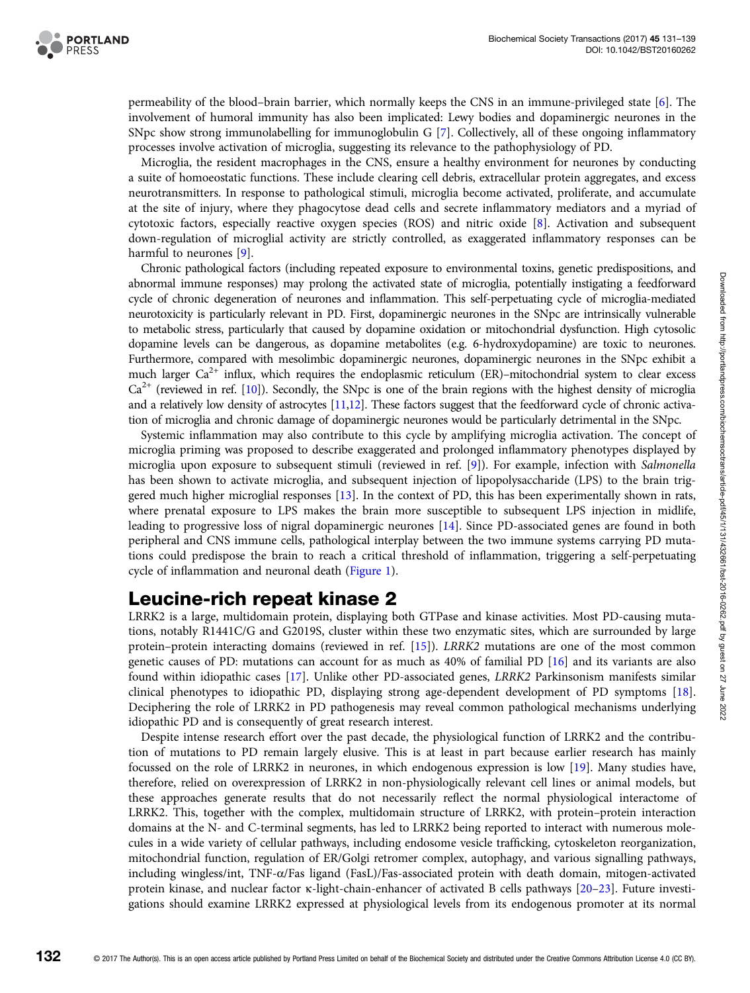

permeability of the blood–brain barrier, which normally keeps the CNS in an immune-privileged state [[6](#page-6-0)]. The involvement of humoral immunity has also been implicated: Lewy bodies and dopaminergic neurones in the SNpc show strong immunolabelling for immunoglobulin G [[7\]](#page-6-0). Collectively, all of these ongoing inflammatory processes involve activation of microglia, suggesting its relevance to the pathophysiology of PD.

Microglia, the resident macrophages in the CNS, ensure a healthy environment for neurones by conducting a suite of homoeostatic functions. These include clearing cell debris, extracellular protein aggregates, and excess neurotransmitters. In response to pathological stimuli, microglia become activated, proliferate, and accumulate at the site of injury, where they phagocytose dead cells and secrete inflammatory mediators and a myriad of cytotoxic factors, especially reactive oxygen species (ROS) and nitric oxide [[8](#page-6-0)]. Activation and subsequent down-regulation of microglial activity are strictly controlled, as exaggerated inflammatory responses can be harmful to neurones [\[9\]](#page-6-0).

Chronic pathological factors (including repeated exposure to environmental toxins, genetic predispositions, and abnormal immune responses) may prolong the activated state of microglia, potentially instigating a feedforward cycle of chronic degeneration of neurones and inflammation. This self-perpetuating cycle of microglia-mediated neurotoxicity is particularly relevant in PD. First, dopaminergic neurones in the SNpc are intrinsically vulnerable to metabolic stress, particularly that caused by dopamine oxidation or mitochondrial dysfunction. High cytosolic dopamine levels can be dangerous, as dopamine metabolites (e.g. 6-hydroxydopamine) are toxic to neurones. Furthermore, compared with mesolimbic dopaminergic neurones, dopaminergic neurones in the SNpc exhibit a much larger  $Ca^{2+}$  influx, which requires the endoplasmic reticulum (ER)–mitochondrial system to clear excess  $Ca^{2+}$  (reviewed in ref. [\[10](#page-6-0)]). Secondly, the SNpc is one of the brain regions with the highest density of microglia and a relatively low density of astrocytes [[11,12](#page-6-0)]. These factors suggest that the feedforward cycle of chronic activation of microglia and chronic damage of dopaminergic neurones would be particularly detrimental in the SNpc.

Systemic inflammation may also contribute to this cycle by amplifying microglia activation. The concept of microglia priming was proposed to describe exaggerated and prolonged inflammatory phenotypes displayed by microglia upon exposure to subsequent stimuli (reviewed in ref. [\[9\]](#page-6-0)). For example, infection with Salmonella has been shown to activate microglia, and subsequent injection of lipopolysaccharide (LPS) to the brain triggered much higher microglial responses [[13](#page-6-0)]. In the context of PD, this has been experimentally shown in rats, where prenatal exposure to LPS makes the brain more susceptible to subsequent LPS injection in midlife, leading to progressive loss of nigral dopaminergic neurones [[14](#page-6-0)]. Since PD-associated genes are found in both peripheral and CNS immune cells, pathological interplay between the two immune systems carrying PD mutations could predispose the brain to reach a critical threshold of inflammation, triggering a self-perpetuating cycle of inflammation and neuronal death ([Figure 1\)](#page-2-0).

## Leucine-rich repeat kinase 2

LRRK2 is a large, multidomain protein, displaying both GTPase and kinase activities. Most PD-causing mutations, notably R1441C/G and G2019S, cluster within these two enzymatic sites, which are surrounded by large protein–protein interacting domains (reviewed in ref. [\[15](#page-6-0)]). LRRK2 mutations are one of the most common genetic causes of PD: mutations can account for as much as 40% of familial PD [[16](#page-6-0)] and its variants are also found within idiopathic cases [\[17\]](#page-6-0). Unlike other PD-associated genes, LRRK2 Parkinsonism manifests similar clinical phenotypes to idiopathic PD, displaying strong age-dependent development of PD symptoms [[18](#page-6-0)]. Deciphering the role of LRRK2 in PD pathogenesis may reveal common pathological mechanisms underlying idiopathic PD and is consequently of great research interest.

Despite intense research effort over the past decade, the physiological function of LRRK2 and the contribution of mutations to PD remain largely elusive. This is at least in part because earlier research has mainly focussed on the role of LRRK2 in neurones, in which endogenous expression is low [[19](#page-7-0)]. Many studies have, therefore, relied on overexpression of LRRK2 in non-physiologically relevant cell lines or animal models, but these approaches generate results that do not necessarily reflect the normal physiological interactome of LRRK2. This, together with the complex, multidomain structure of LRRK2, with protein–protein interaction domains at the N- and C-terminal segments, has led to LRRK2 being reported to interact with numerous molecules in a wide variety of cellular pathways, including endosome vesicle trafficking, cytoskeleton reorganization, mitochondrial function, regulation of ER/Golgi retromer complex, autophagy, and various signalling pathways, including wingless/int, TNF-α/Fas ligand (FasL)/Fas-associated protein with death domain, mitogen-activated protein kinase, and nuclear factor κ-light-chain-enhancer of activated B cells pathways [[20](#page-7-0)–[23](#page-7-0)]. Future investigations should examine LRRK2 expressed at physiological levels from its endogenous promoter at its normal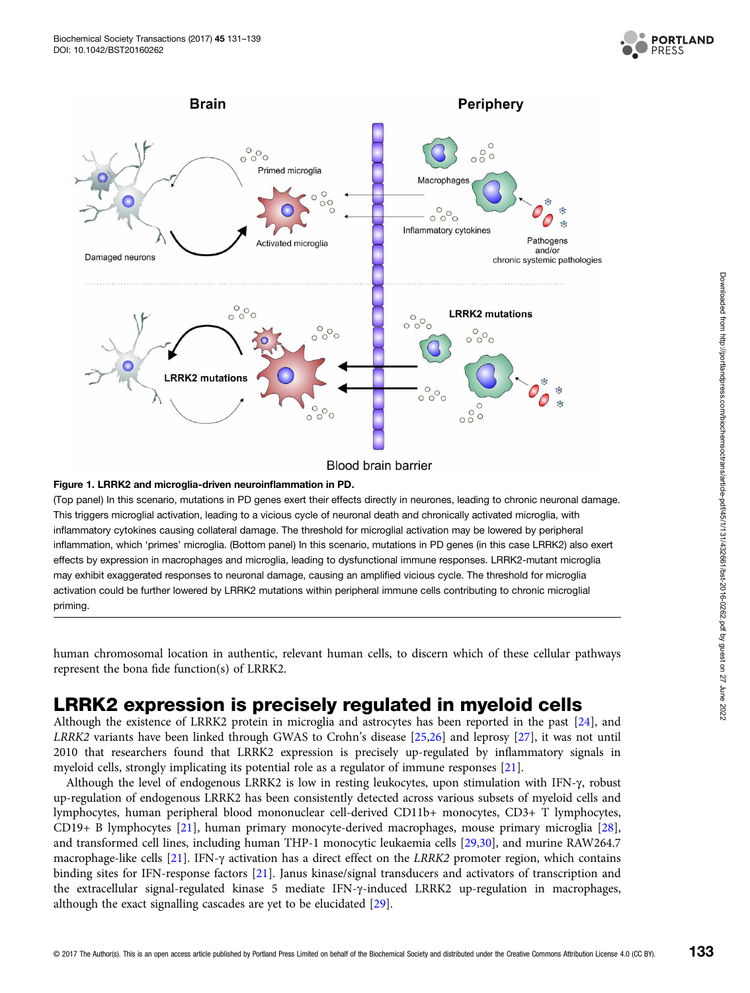

<span id="page-2-0"></span>

#### Blood brain barrier

#### Figure 1. LRRK2 and microglia-driven neuroinflammation in PD.

(Top panel) In this scenario, mutations in PD genes exert their effects directly in neurones, leading to chronic neuronal damage. This triggers microglial activation, leading to a vicious cycle of neuronal death and chronically activated microglia, with inflammatory cytokines causing collateral damage. The threshold for microglial activation may be lowered by peripheral inflammation, which 'primes' microglia. (Bottom panel) In this scenario, mutations in PD genes (in this case LRRK2) also exert effects by expression in macrophages and microglia, leading to dysfunctional immune responses. LRRK2-mutant microglia may exhibit exaggerated responses to neuronal damage, causing an amplified vicious cycle. The threshold for microglia activation could be further lowered by LRRK2 mutations within peripheral immune cells contributing to chronic microglial priming.

human chromosomal location in authentic, relevant human cells, to discern which of these cellular pathways represent the bona fide function(s) of LRRK2.

### LRRK2 expression is precisely regulated in myeloid cells

Although the existence of LRRK2 protein in microglia and astrocytes has been reported in the past [\[24\]](#page-7-0), and LRRK2 variants have been linked through GWAS to Crohn's disease [\[25,26\]](#page-7-0) and leprosy [[27](#page-7-0)], it was not until 2010 that researchers found that LRRK2 expression is precisely up-regulated by inflammatory signals in myeloid cells, strongly implicating its potential role as a regulator of immune responses [[21](#page-7-0)].

Although the level of endogenous LRRK2 is low in resting leukocytes, upon stimulation with IFN-γ, robust up-regulation of endogenous LRRK2 has been consistently detected across various subsets of myeloid cells and lymphocytes, human peripheral blood mononuclear cell-derived CD11b+ monocytes, CD3+ T lymphocytes, CD19+ B lymphocytes [\[21](#page-7-0)], human primary monocyte-derived macrophages, mouse primary microglia [\[28\]](#page-7-0), and transformed cell lines, including human THP-1 monocytic leukaemia cells [\[29,30](#page-7-0)], and murine RAW264.7 macrophage-like cells [[21](#page-7-0)]. IFN-γ activation has a direct effect on the LRRK2 promoter region, which contains binding sites for IFN-response factors [\[21](#page-7-0)]. Janus kinase/signal transducers and activators of transcription and the extracellular signal-regulated kinase 5 mediate IFN-γ-induced LRRK2 up-regulation in macrophages, although the exact signalling cascades are yet to be elucidated [[29](#page-7-0)].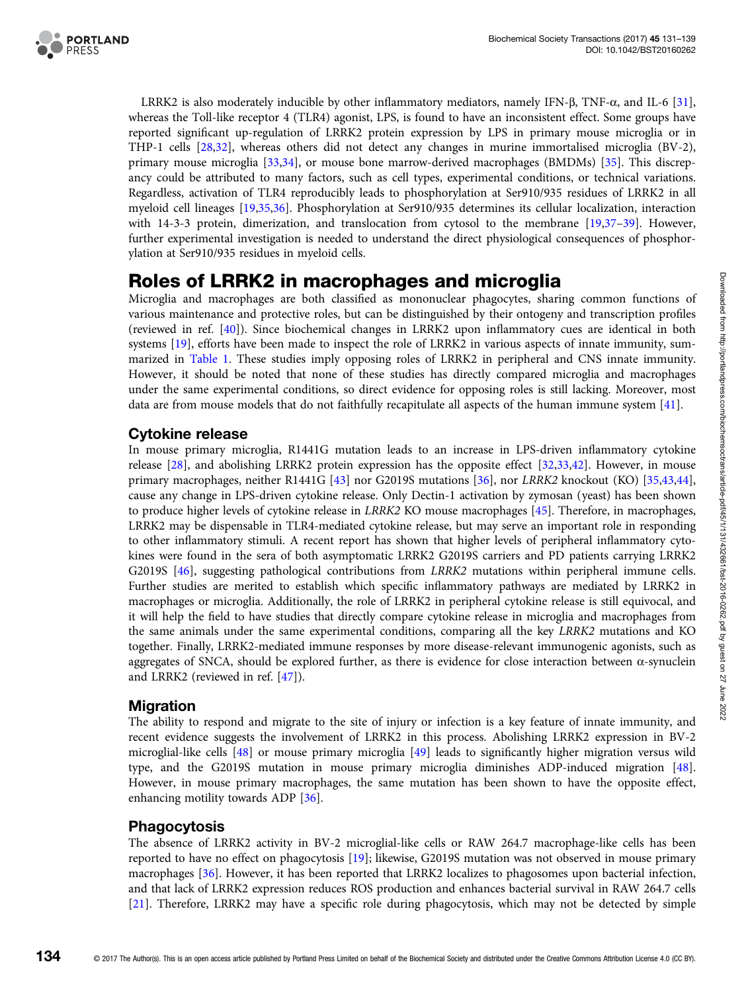

LRRK2 is also moderately inducible by other inflammatory mediators, namely IFN-β, TNF-α, and IL-6 [[31](#page-7-0)], whereas the Toll-like receptor 4 (TLR4) agonist, LPS, is found to have an inconsistent effect. Some groups have reported significant up-regulation of LRRK2 protein expression by LPS in primary mouse microglia or in THP-1 cells [\[28,32\]](#page-7-0), whereas others did not detect any changes in murine immortalised microglia (BV-2), primary mouse microglia [\[33,34\]](#page-7-0), or mouse bone marrow-derived macrophages (BMDMs) [\[35](#page-7-0)]. This discrepancy could be attributed to many factors, such as cell types, experimental conditions, or technical variations. Regardless, activation of TLR4 reproducibly leads to phosphorylation at Ser910/935 residues of LRRK2 in all myeloid cell lineages [\[19,35,36](#page-7-0)]. Phosphorylation at Ser910/935 determines its cellular localization, interaction with 14-3-3 protein, dimerization, and translocation from cytosol to the membrane [\[19,37](#page-7-0)-[39](#page-7-0)]. However, further experimental investigation is needed to understand the direct physiological consequences of phosphorylation at Ser910/935 residues in myeloid cells.

### Roles of LRRK2 in macrophages and microglia

Microglia and macrophages are both classified as mononuclear phagocytes, sharing common functions of various maintenance and protective roles, but can be distinguished by their ontogeny and transcription profiles (reviewed in ref. [[40](#page-7-0)]). Since biochemical changes in LRRK2 upon inflammatory cues are identical in both systems [[19](#page-7-0)], efforts have been made to inspect the role of LRRK2 in various aspects of innate immunity, summarized in [Table 1.](#page-4-0) These studies imply opposing roles of LRRK2 in peripheral and CNS innate immunity. However, it should be noted that none of these studies has directly compared microglia and macrophages under the same experimental conditions, so direct evidence for opposing roles is still lacking. Moreover, most data are from mouse models that do not faithfully recapitulate all aspects of the human immune system [\[41](#page-7-0)].

### Cytokine release

In mouse primary microglia, R1441G mutation leads to an increase in LPS-driven inflammatory cytokine release [[28](#page-7-0)], and abolishing LRRK2 protein expression has the opposite effect [[32,33,42\]](#page-7-0). However, in mouse primary macrophages, neither R1441G [\[43\]](#page-7-0) nor G2019S mutations [\[36\]](#page-7-0), nor LRRK2 knockout (KO) [[35,43](#page-7-0),[44](#page-7-0)], cause any change in LPS-driven cytokine release. Only Dectin-1 activation by zymosan (yeast) has been shown to produce higher levels of cytokine release in LRRK2 KO mouse macrophages [\[45\]](#page-7-0). Therefore, in macrophages, LRRK2 may be dispensable in TLR4-mediated cytokine release, but may serve an important role in responding to other inflammatory stimuli. A recent report has shown that higher levels of peripheral inflammatory cytokines were found in the sera of both asymptomatic LRRK2 G2019S carriers and PD patients carrying LRRK2 G2019S [\[46\]](#page-7-0), suggesting pathological contributions from LRRK2 mutations within peripheral immune cells. Further studies are merited to establish which specific inflammatory pathways are mediated by LRRK2 in macrophages or microglia. Additionally, the role of LRRK2 in peripheral cytokine release is still equivocal, and it will help the field to have studies that directly compare cytokine release in microglia and macrophages from the same animals under the same experimental conditions, comparing all the key LRRK2 mutations and KO together. Finally, LRRK2-mediated immune responses by more disease-relevant immunogenic agonists, such as aggregates of SNCA, should be explored further, as there is evidence for close interaction between  $\alpha$ -synuclein and LRRK2 (reviewed in ref. [\[47](#page-7-0)]).

### Migration

The ability to respond and migrate to the site of injury or infection is a key feature of innate immunity, and recent evidence suggests the involvement of LRRK2 in this process. Abolishing LRRK2 expression in BV-2 microglial-like cells [[48\]](#page-7-0) or mouse primary microglia [\[49\]](#page-7-0) leads to significantly higher migration versus wild type, and the G2019S mutation in mouse primary microglia diminishes ADP-induced migration [[48](#page-7-0)]. However, in mouse primary macrophages, the same mutation has been shown to have the opposite effect, enhancing motility towards ADP [[36](#page-7-0)].

### Phagocytosis

The absence of LRRK2 activity in BV-2 microglial-like cells or RAW 264.7 macrophage-like cells has been reported to have no effect on phagocytosis [[19\]](#page-7-0); likewise, G2019S mutation was not observed in mouse primary macrophages [[36](#page-7-0)]. However, it has been reported that LRRK2 localizes to phagosomes upon bacterial infection, and that lack of LRRK2 expression reduces ROS production and enhances bacterial survival in RAW 264.7 cells [[21](#page-7-0)]. Therefore, LRRK2 may have a specific role during phagocytosis, which may not be detected by simple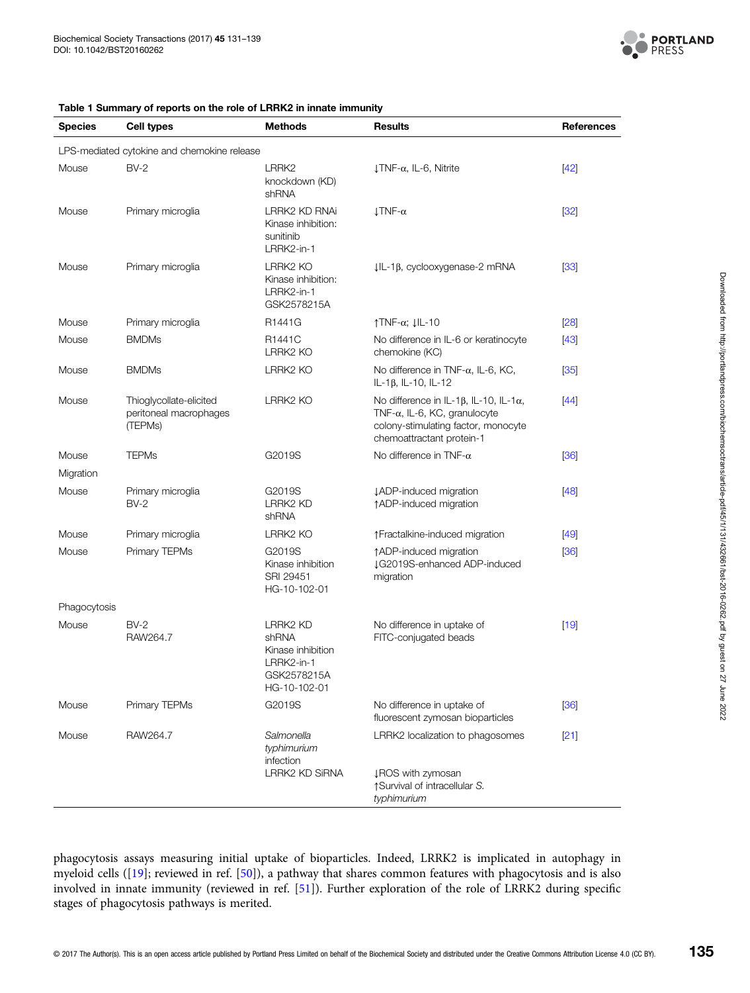

<span id="page-4-0"></span>

| Table 1 Summary of reports on the role of LRRK2 in innate immunity |  |  |
|--------------------------------------------------------------------|--|--|
|--------------------------------------------------------------------|--|--|

| <b>Species</b>                              | <b>Cell types</b>                                            | <b>Methods</b>                                                                             | <b>Results</b>                                                                                                                                                      | <b>References</b> |  |
|---------------------------------------------|--------------------------------------------------------------|--------------------------------------------------------------------------------------------|---------------------------------------------------------------------------------------------------------------------------------------------------------------------|-------------------|--|
| LPS-mediated cytokine and chemokine release |                                                              |                                                                                            |                                                                                                                                                                     |                   |  |
| Mouse                                       | $BV-2$                                                       | LRRK <sub>2</sub><br>knockdown (KD)<br>shRNA                                               | $\downarrow$ TNF- $\alpha$ , IL-6, Nitrite                                                                                                                          | $[42]$            |  |
| Mouse                                       | Primary microglia                                            | LRRK2 KD RNAi<br>Kinase inhibition:<br>sunitinib<br>LRRK2-in-1                             | $LTNF-\alpha$                                                                                                                                                       | $[32]$            |  |
| Mouse                                       | Primary microglia                                            | LRRK2 KO<br>Kinase inhibition:<br>LRRK2-in-1<br>GSK2578215A                                | $IL-1\beta$ , cyclooxygenase-2 mRNA                                                                                                                                 | $[33]$            |  |
| Mouse                                       | Primary microglia                                            | R1441G                                                                                     | $\uparrow$ TNF- $\alpha$ ; $\downarrow$ IL-10                                                                                                                       | [28]              |  |
| Mouse                                       | <b>BMDMs</b>                                                 | R <sub>1441</sub> C<br>LRRK2 KO                                                            | No difference in IL-6 or keratinocyte<br>chemokine (KC)                                                                                                             | $[43]$            |  |
| Mouse                                       | <b>BMDMs</b>                                                 | LRRK2 KO                                                                                   | No difference in TNF- $\alpha$ , IL-6, KC,<br>IL-1β, IL-10, IL-12                                                                                                   | $[35]$            |  |
| Mouse                                       | Thioglycollate-elicited<br>peritoneal macrophages<br>(TEPMs) | LRRK2 KO                                                                                   | No difference in IL-1 $\beta$ , IL-10, IL-1 $\alpha$ ,<br>TNF- $\alpha$ , IL-6, KC, granulocyte<br>colony-stimulating factor, monocyte<br>chemoattractant protein-1 | $[44]$            |  |
| Mouse                                       | <b>TEPMs</b>                                                 | G2019S                                                                                     | No difference in TNF- $\alpha$                                                                                                                                      | [36]              |  |
| Migration                                   |                                                              |                                                                                            |                                                                                                                                                                     |                   |  |
| Mouse                                       | Primary microglia<br>$BV-2$                                  | G2019S<br>LRRK2 KD<br>shRNA                                                                | <b>JADP-induced migration</b><br>↑ADP-induced migration                                                                                                             | $[48]$            |  |
| Mouse                                       | Primary microglia                                            | LRRK2 KO                                                                                   | ↑ Fractalkine-induced migration                                                                                                                                     | $[49]$            |  |
| Mouse                                       | Primary TEPMs                                                | G2019S<br>Kinase inhibition<br>SRI 29451<br>HG-10-102-01                                   | ↑ADP-induced migration<br>LG2019S-enhanced ADP-induced<br>migration                                                                                                 | [36]              |  |
| Phagocytosis                                |                                                              |                                                                                            |                                                                                                                                                                     |                   |  |
| Mouse                                       | $BV-2$<br>RAW264.7                                           | <b>LRRK2 KD</b><br>shRNA<br>Kinase inhibition<br>LRRK2-in-1<br>GSK2578215A<br>HG-10-102-01 | No difference in uptake of<br>FITC-conjugated beads                                                                                                                 | $[19]$            |  |
| Mouse                                       | Primary TEPMs                                                | G2019S                                                                                     | No difference in uptake of<br>fluorescent zymosan bioparticles                                                                                                      | [36]              |  |
| Mouse                                       | RAW264.7                                                     | Salmonella<br>typhimurium<br>infection                                                     | LRRK2 localization to phagosomes                                                                                                                                    | $[21]$            |  |
|                                             |                                                              | LRRK2 KD SiRNA                                                                             | <b>IROS</b> with zymosan<br>↑ Survival of intracellular S.<br>typhimurium                                                                                           |                   |  |

phagocytosis assays measuring initial uptake of bioparticles. Indeed, LRRK2 is implicated in autophagy in myeloid cells ([[19](#page-7-0)]; reviewed in ref. [[50\]](#page-7-0)), a pathway that shares common features with phagocytosis and is also involved in innate immunity (reviewed in ref. [\[51\]](#page-8-0)). Further exploration of the role of LRRK2 during specific stages of phagocytosis pathways is merited.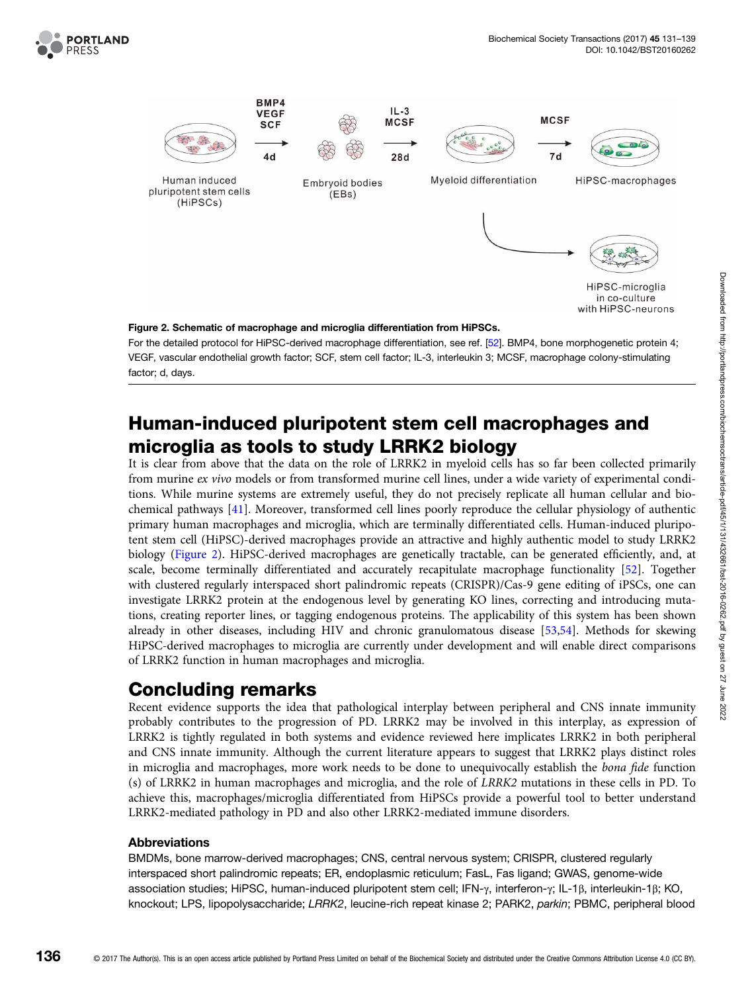

VEGF, vascular endothelial growth factor; SCF, stem cell factor; IL-3, interleukin 3; MCSF, macrophage colony-stimulating factor; d, days.

# Human-induced pluripotent stem cell macrophages and microglia as tools to study LRRK2 biology

It is clear from above that the data on the role of LRRK2 in myeloid cells has so far been collected primarily from murine ex vivo models or from transformed murine cell lines, under a wide variety of experimental conditions. While murine systems are extremely useful, they do not precisely replicate all human cellular and biochemical pathways [\[41\]](#page-7-0). Moreover, transformed cell lines poorly reproduce the cellular physiology of authentic primary human macrophages and microglia, which are terminally differentiated cells. Human-induced pluripotent stem cell (HiPSC)-derived macrophages provide an attractive and highly authentic model to study LRRK2 biology (Figure 2). HiPSC-derived macrophages are genetically tractable, can be generated efficiently, and, at scale, become terminally differentiated and accurately recapitulate macrophage functionality [[52](#page-8-0)]. Together with clustered regularly interspaced short palindromic repeats (CRISPR)/Cas-9 gene editing of iPSCs, one can investigate LRRK2 protein at the endogenous level by generating KO lines, correcting and introducing mutations, creating reporter lines, or tagging endogenous proteins. The applicability of this system has been shown already in other diseases, including HIV and chronic granulomatous disease [[53](#page-8-0),[54](#page-8-0)]. Methods for skewing HiPSC-derived macrophages to microglia are currently under development and will enable direct comparisons of LRRK2 function in human macrophages and microglia.

## Concluding remarks

Recent evidence supports the idea that pathological interplay between peripheral and CNS innate immunity probably contributes to the progression of PD. LRRK2 may be involved in this interplay, as expression of LRRK2 is tightly regulated in both systems and evidence reviewed here implicates LRRK2 in both peripheral and CNS innate immunity. Although the current literature appears to suggest that LRRK2 plays distinct roles in microglia and macrophages, more work needs to be done to unequivocally establish the bona fide function (s) of LRRK2 in human macrophages and microglia, and the role of LRRK2 mutations in these cells in PD. To achieve this, macrophages/microglia differentiated from HiPSCs provide a powerful tool to better understand LRRK2-mediated pathology in PD and also other LRRK2-mediated immune disorders.

#### Abbreviations

BMDMs, bone marrow-derived macrophages; CNS, central nervous system; CRISPR, clustered regularly interspaced short palindromic repeats; ER, endoplasmic reticulum; FasL, Fas ligand; GWAS, genome-wide association studies; HiPSC, human-induced pluripotent stem cell; IFN-γ, interferon-γ; IL-1β, interleukin-1β; KO, knockout; LPS, lipopolysaccharide; LRRK2, leucine-rich repeat kinase 2; PARK2, parkin; PBMC, peripheral blood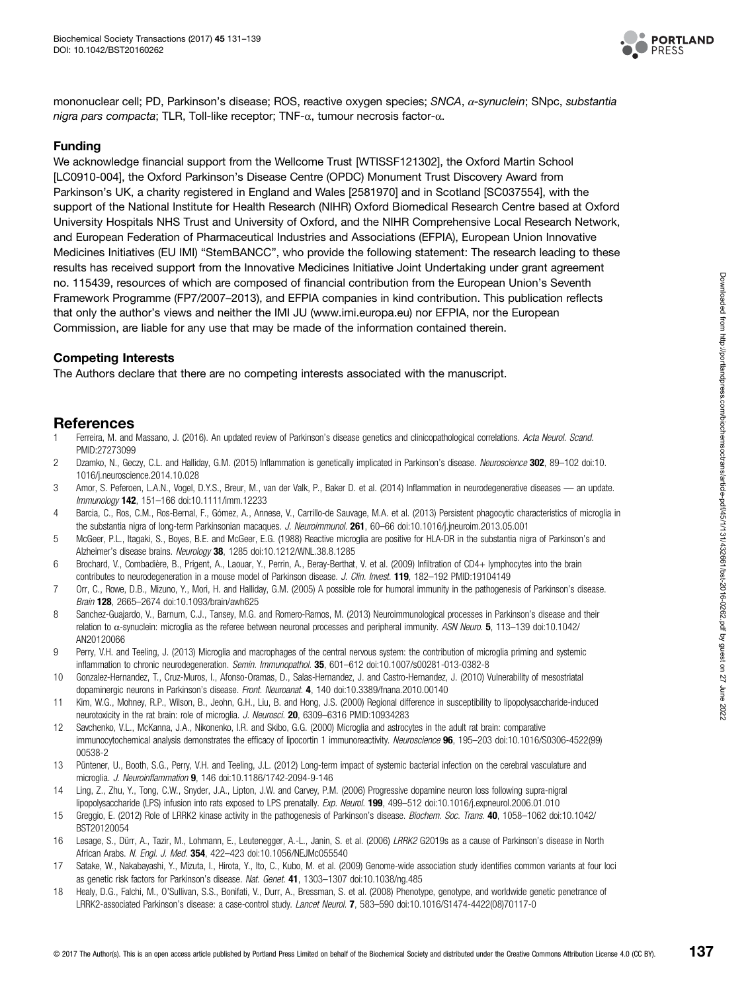

<span id="page-6-0"></span>mononuclear cell; PD, Parkinson's disease; ROS, reactive oxygen species; SNCA, α-synuclein; SNpc, substantia nigra pars compacta; TLR, Toll-like receptor; TNF-α, tumour necrosis factor-α.

#### Funding

We acknowledge financial support from the Wellcome Trust [WTISSF121302], the Oxford Martin School [LC0910-004], the Oxford Parkinson's Disease Centre (OPDC) Monument Trust Discovery Award from Parkinson's UK, a charity registered in England and Wales [2581970] and in Scotland [SC037554], with the support of the National Institute for Health Research (NIHR) Oxford Biomedical Research Centre based at Oxford University Hospitals NHS Trust and University of Oxford, and the NIHR Comprehensive Local Research Network, and European Federation of Pharmaceutical Industries and Associations (EFPIA), European Union Innovative Medicines Initiatives (EU IMI) "StemBANCC", who provide the following statement: The research leading to these results has received support from the Innovative Medicines Initiative Joint Undertaking under grant agreement no. 115439, resources of which are composed of financial contribution from the European Union's Seventh Framework Programme (FP7/2007–2013), and EFPIA companies in kind contribution. This publication reflects that only the author's views and neither the IMI JU ([www.imi.europa.eu](http://www.imi.europa.eu)) nor EFPIA, nor the European Commission, are liable for any use that may be made of the information contained therein.

#### Competing Interests

The Authors declare that there are no competing interests associated with the manuscript.

### References

- 1 Ferreira, M. and Massano, J. (2016). An updated review of Parkinson's disease genetics and clinicopathological correlations. Acta Neurol. Scand. PMID[:27273099](http://www.ncbi.nlm.nih.gov/pubmed/27273099)
- 2 Dzamko, N., Geczy, C.L. and Halliday, G.M. (2015) Inflammation is genetically implicated in Parkinson's disease. Neuroscience 302, 89-102 doi[:10.](http://dx.doi.org/doi:10.1016/j.neuroscience.2014.10.028) [1016/j.neuroscience.2014.10.028](http://dx.doi.org/doi:10.1016/j.neuroscience.2014.10.028)
- 3 Amor, S. Peferoen, L.A.N., Vogel, D.Y.S., Breur, M., van der Valk, P., Baker D. et al. (2014) Inflammation in neurodegenerative diseases an update. Immunology 142, 151–166 doi:[10.1111/imm.12233](http://dx.doi.org/doi:10.1111/imm.12233)
- 4 Barcia, C., Ros, C.M., Ros-Bernal, F., Gómez, A., Annese, V., Carrillo-de Sauvage, M.A. et al. (2013) Persistent phagocytic characteristics of microglia in the substantia nigra of long-term Parkinsonian macaques. J. Neuroimmunol. 261, 60–66 doi:[10.1016/j.jneuroim.2013.05.001](http://dx.doi.org/doi:10.1016/j.jneuroim.2013.05.001)
- 5 McGeer, P.L., Itagaki, S., Boyes, B.E. and McGeer, E.G. (1988) Reactive microglia are positive for HLA-DR in the substantia nigra of Parkinson's and Alzheimer's disease brains. Neurology 38, 1285 doi[:10.1212/WNL.38.8.1285](http://dx.doi.org/doi:10.1212/WNL.38.8.1285)
- 6 Brochard, V., Combadière, B., Prigent, A., Laouar, Y., Perrin, A., Beray-Berthat, V. et al. (2009) Infiltration of CD4+ lymphocytes into the brain contributes to neurodegeneration in a mouse model of Parkinson disease. J. Clin. Invest. **119**, 182–192 PMID[:19104149](http://www.ncbi.nlm.nih.gov/pubmed/19104149)
- 7 Orr, C., Rowe, D.B., Mizuno, Y., Mori, H. and Halliday, G.M. (2005) A possible role for humoral immunity in the pathogenesis of Parkinson's disease. Brain 128, 2665–2674 doi:[10.1093/brain/awh625](http://dx.doi.org/doi:10.1093/brain/awh625)
- 8 Sanchez-Guajardo, V., Barnum, C.J., Tansey, M.G. and Romero-Ramos, M. (2013) Neuroimmunological processes in Parkinson's disease and their relation to  $\alpha$ -synuclein: microglia as the referee between neuronal processes and peripheral immunity. ASN Neuro.  $5$ , 113-139 doi:[10.1042/](http://dx.doi.org/doi:10.1042/AN20120066) [AN20120066](http://dx.doi.org/doi:10.1042/AN20120066)
- 9 Perry, V.H. and Teeling, J. (2013) Microglia and macrophages of the central nervous system: the contribution of microglia priming and systemic inflammation to chronic neurodegeneration. Semin. Immunopathol. 35, 601–612 doi[:10.1007/s00281-013-0382-8](http://dx.doi.org/doi:10.1007/s00281-013-0382-8)
- 10 Gonzalez-Hernandez, T., Cruz-Muros, I., Afonso-Oramas, D., Salas-Hernandez, J. and Castro-Hernandez, J. (2010) Vulnerability of mesostriatal dopaminergic neurons in Parkinson's disease. Front. Neuroanat. 4, 140 doi[:10.3389/fnana.2010.00140](http://dx.doi.org/doi:10.3389/fnana.2010.00140)
- 11 Kim, W.G., Mohney, R.P., Wilson, B., Jeohn, G.H., Liu, B. and Hong, J.S. (2000) Regional difference in susceptibility to lipopolysaccharide-induced neurotoxicity in the rat brain: role of microglia. J. Neurosci. **20**, 6309-6316 PMID:[10934283](http://www.ncbi.nlm.nih.gov/pubmed/10934283)
- 12 Savchenko, V.L., McKanna, J.A., Nikonenko, I.R. and Skibo, G.G. (2000) Microglia and astrocytes in the adult rat brain: comparative immunocytochemical analysis demonstrates the efficacy of lipocortin 1 immunoreactivity. Neuroscience 96, 195-203 doi[:10.1016/S0306-4522\(99\)](http://dx.doi.org/doi:10.1016/S0306-4522(99)00538-2) [00538-2](http://dx.doi.org/doi:10.1016/S0306-4522(99)00538-2)
- 13 Püntener, U., Booth, S.G., Perry, V.H. and Teeling, J.L. (2012) Long-term impact of systemic bacterial infection on the cerebral vasculature and microglia. J. Neuroinflammation 9, 146 doi:[10.1186/1742-2094-9-146](http://dx.doi.org/doi:10.1186/1742-2094-9-146)
- 14 Ling, Z., Zhu, Y., Tong, C.W., Snyder, J.A., Lipton, J.W. and Carvey, P.M. (2006) Progressive dopamine neuron loss following supra-nigral lipopolysaccharide (LPS) infusion into rats exposed to LPS prenatally. Exp. Neurol. 199, 499-512 doi:[10.1016/j.expneurol.2006.01.010](http://dx.doi.org/doi:10.1016/j.expneurol.2006.01.010)
- 15 Greggio, E. (2012) Role of LRRK2 kinase activity in the pathogenesis of Parkinson's disease. Biochem. Soc. Trans. 40, 1058-1062 doi[:10.1042/](http://dx.doi.org/doi:10.1042/BST20120054) [BST20120054](http://dx.doi.org/doi:10.1042/BST20120054)
- 16 Lesage, S., Dürr, A., Tazir, M., Lohmann, E., Leutenegger, A.-L., Janin, S. et al. (2006) LRRK2 G2019s as a cause of Parkinson's disease in North African Arabs. N. Engl. J. Med. 354, 422-423 doi:[10.1056/NEJMc055540](http://dx.doi.org/doi:10.1056/NEJMc055540)
- 17 Satake, W., Nakabayashi, Y., Mizuta, I., Hirota, Y., Ito, C., Kubo, M. et al. (2009) Genome-wide association study identifies common variants at four loci as genetic risk factors for Parkinson's disease. Nat. Genet. 41, 1303-1307 doi[:10.1038/ng.485](http://dx.doi.org/doi:10.1038/ng.485)
- 18 Healy, D.G., Falchi, M., O'Sullivan, S.S., Bonifati, V., Durr, A., Bressman, S. et al. (2008) Phenotype, genotype, and worldwide genetic penetrance of LRRK2-associated Parkinson's disease: a case-control study. Lancet Neurol. 7, 583–590 doi[:10.1016/S1474-4422\(08\)70117-0](http://dx.doi.org/doi:10.1016/S1474-4422(08)70117-0)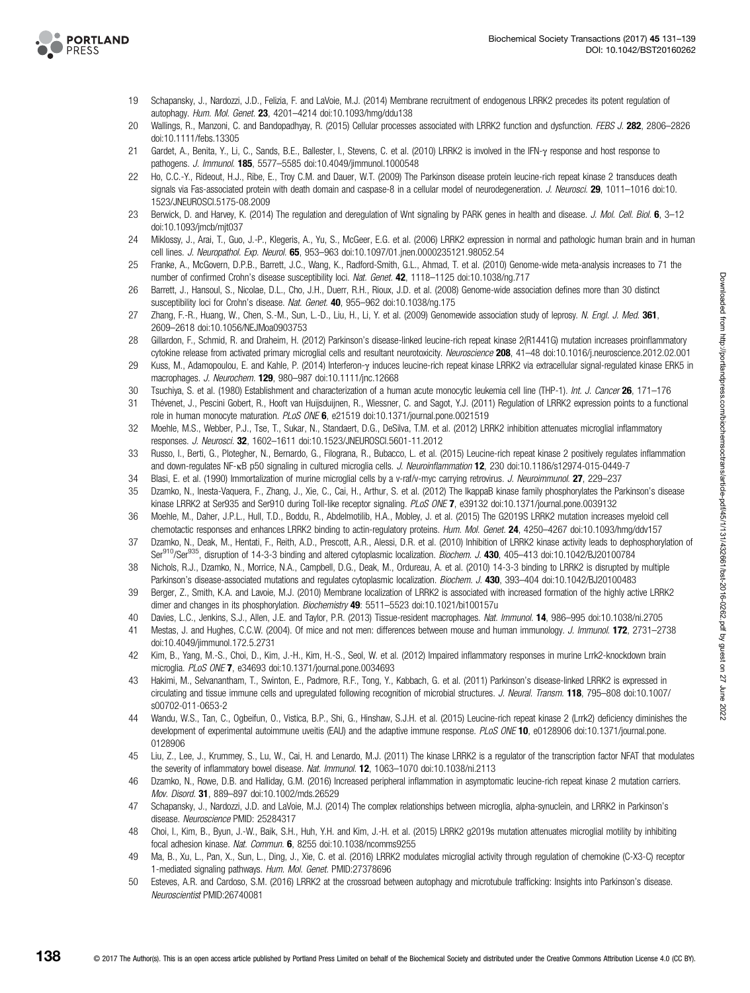<span id="page-7-0"></span>

- 19 Schapansky, J., Nardozzi, J.D., Felizia, F. and LaVoie, M.J. (2014) Membrane recruitment of endogenous LRRK2 precedes its potent regulation of autophagy. Hum. Mol. Genet. 23, 4201–4214 doi[:10.1093/hmg/ddu138](http://dx.doi.org/doi:10.1093/hmg/ddu138)
- 20 Wallings, R., Manzoni, C. and Bandopadhyay, R. (2015) Cellular processes associated with LRRK2 function and dysfunction. FEBS J. 282, 2806–2826 doi[:10.1111/febs.13305](http://dx.doi.org/doi:10.1111/febs.13305)
- 21 Gardet, A., Benita, Y., Li, C., Sands, B.E., Ballester, I., Stevens, C. et al. (2010) LRRK2 is involved in the IFN-γ response and host response to pathogens. J. Immunol. 185, 5577-5585 doi:[10.4049/jimmunol.1000548](http://dx.doi.org/doi:10.4049/jimmunol.1000548)
- 22 Ho, C.C.-Y., Rideout, H.J., Ribe, E., Troy C.M. and Dauer, W.T. (2009) The Parkinson disease protein leucine-rich repeat kinase 2 transduces death signals via Fas-associated protein with death domain and caspase-8 in a cellular model of neurodegeneration. J. Neurosci. 29. 1011–1016 doi[:10.](http://dx.doi.org/doi:10.1523/JNEUROSCI.5175-08.2009) [1523/JNEUROSCI.5175-08.2009](http://dx.doi.org/doi:10.1523/JNEUROSCI.5175-08.2009)
- 23 Berwick, D. and Harvey, K. (2014) The regulation and deregulation of Wnt signaling by PARK genes in health and disease. J. Mol. Cell. Biol. 6, 3-12 doi[:10.1093/jmcb/mjt037](http://dx.doi.org/doi:10.1093/jmcb/mjt037)
- 24 Miklossy, J., Arai, T., Guo, J.-P., Klegeris, A., Yu, S., McGeer, E.G. et al. (2006) LRRK2 expression in normal and pathologic human brain and in human cell lines. J. Neuropathol. Exp. Neurol. 65, 953-963 doi:[10.1097/01.jnen.0000235121.98052.54](http://dx.doi.org/doi:10.1097/01.jnen.0000235121.98052.54)
- 25 Franke, A., McGovern, D.P.B., Barrett, J.C., Wang, K., Radford-Smith, G.L., Ahmad, T. et al. (2010) Genome-wide meta-analysis increases to 71 the number of confirmed Crohn's disease susceptibility loci. Nat. Genet. 42, 1118–1125 doi[:10.1038/ng.717](http://dx.doi.org/doi:10.1038/ng.717)
- 26 Barrett, J., Hansoul, S., Nicolae, D.L., Cho, J.H., Duerr, R.H., Rioux, J.D. et al. (2008) Genome-wide association defines more than 30 distinct susceptibility loci for Crohn's disease. Nat. Genet. 40, 955-962 doi[:10.1038/ng.175](http://dx.doi.org/doi:10.1038/ng.175)
- 27 Zhang, F.-R., Huang, W., Chen, S.-M., Sun, L.-D., Liu, H., Li, Y. et al. (2009) Genomewide association study of leprosy. N. Engl. J. Med. 361, 2609–2618 doi[:10.1056/NEJMoa0903753](http://dx.doi.org/doi:10.1056/NEJMoa0903753)
- 28 Gillardon, F., Schmid, R. and Draheim, H. (2012) Parkinson's disease-linked leucine-rich repeat kinase 2(R1441G) mutation increases proinflammatory cytokine release from activated primary microglial cells and resultant neurotoxicity. Neuroscience 208, 41-48 doi:[10.1016/j.neuroscience.2012.02.001](http://dx.doi.org/doi:10.1016/j.neuroscience.2012.02.001)
- 29 Kuss, M., Adamopoulou, E. and Kahle, P. (2014) Interferon-γ induces leucine-rich repeat kinase LRRK2 via extracellular signal-regulated kinase ERK5 in macrophages. J. Neurochem. 129, 980–987 doi:[10.1111/jnc.12668](http://dx.doi.org/doi:10.1111/jnc.12668)
- 30 Tsuchiya, S. et al. (1980) Establishment and characterization of a human acute monocytic leukemia cell line (THP-1). Int. J. Cancer 26, 171–176
- 31 Thévenet, J., Pescini Gobert, R., Hooft van Huijsduijnen, R., Wiessner, C. and Sagot, Y.J. (2011) Regulation of LRRK2 expression points to a functional role in human monocyte maturation. PLoS ONE 6, e21519 doi:[10.1371/journal.pone.0021519](http://dx.doi.org/doi:10.1371/journal.pone.0021519)
- 32 Moehle, M.S., Webber, P.J., Tse, T., Sukar, N., Standaert, D.G., DeSilva, T.M. et al. (2012) LRRK2 inhibition attenuates microglial inflammatory responses. J. Neurosci. 32, 1602–1611 doi:[10.1523/JNEUROSCI.5601-11.2012](http://dx.doi.org/doi:10.1523/JNEUROSCI.5601-11.2012)
- 33 Russo, I., Berti, G., Plotegher, N., Bernardo, G., Filograna, R., Bubacco, L. et al. (2015) Leucine-rich repeat kinase 2 positively regulates inflammation and down-regulates NF-κB p50 signaling in cultured microglia cells. J. Neuroinflammation 12, 230 doi[:10.1186/s12974-015-0449-7](http://dx.doi.org/doi:10.1186/s12974-015-0449-7)
- 34 Blasi, E. et al. (1990) Immortalization of murine microglial cells by a v-raf/v-myc carrying retrovirus. J. Neuroimmunol. 27, 229–237
- 35 Dzamko, N., Inesta-Vaquera, F., Zhang, J., Xie, C., Cai, H., Arthur, S. et al. (2012) The IkappaB kinase family phosphorylates the Parkinson's disease kinase LRRK2 at Ser935 and Ser910 during Toll-like receptor signaling. PLoS ONE 7, e39132 doi[:10.1371/journal.pone.0039132](http://dx.doi.org/doi:10.1371/journal.pone.0039132)
- 36 Moehle, M., Daher, J.P.L., Hull, T.D., Boddu, R., Abdelmotilib, H.A., Mobley, J. et al. (2015) The G2019S LRRK2 mutation increases myeloid cell chemotactic responses and enhances LRRK2 binding to actin-regulatory proteins. Hum. Mol. Genet. 24, 4250-4267 doi[:10.1093/hmg/ddv157](http://dx.doi.org/doi:10.1093/hmg/ddv157)
- 37 Dzamko, N., Deak, M., Hentati, F., Reith, A.D., Prescott, A.R., Alessi, D.R. et al. (2010) Inhibition of LRRK2 kinase activity leads to dephosphorylation of Ser<sup>910</sup>/Ser<sup>935</sup>, disruption of 14-3-3 binding and altered cytoplasmic localization. Biochem. J. 430, 405-413 doi:[10.1042/BJ20100784](http://dx.doi.org/doi:10.1042/BJ20100784)
- 38 Nichols, R.J., Dzamko, N., Morrice, N.A., Campbell, D.G., Deak, M., Ordureau, A. et al. (2010) 14-3-3 binding to LRRK2 is disrupted by multiple Parkinson's disease-associated mutations and regulates cytoplasmic localization. Biochem. J. 430, 393-404 doi:[10.1042/BJ20100483](http://dx.doi.org/doi:10.1042/BJ20100483)
- 39 Berger, Z., Smith, K.A. and Lavoie, M.J. (2010) Membrane localization of LRRK2 is associated with increased formation of the highly active LRRK2 dimer and changes in its phosphorylation. Biochemistry 49: 5511-5523 doi[:10.1021/bi100157u](http://dx.doi.org/doi:10.1021/bi100157u)
- 40 Davies, L.C., Jenkins, S.J., Allen, J.E. and Taylor, P.R. (2013) Tissue-resident macrophages. Nat. Immunol. 14, 986–995 doi[:10.1038/ni.2705](http://dx.doi.org/doi:10.1038/ni.2705)
- 41 Mestas, J. and Hughes, C.C.W. (2004). Of mice and not men: differences between mouse and human immunology. J. Immunol. 172, 2731–2738 doi[:10.4049/jimmunol.172.5.2731](http://dx.doi.org/doi:10.4049/jimmunol.172.5.2731)
- 42 Kim, B., Yang, M.-S., Choi, D., Kim, J.-H., Kim, H.-S., Seol, W. et al. (2012) Impaired inflammatory responses in murine Lrrk2-knockdown brain microglia. PLoS ONE 7, e34693 doi:[10.1371/journal.pone.0034693](http://dx.doi.org/doi:10.1371/journal.pone.0034693)
- 43 Hakimi, M., Selvanantham, T., Swinton, E., Padmore, R.F., Tong, Y., Kabbach, G. et al. (2011) Parkinson's disease-linked LRRK2 is expressed in circulating and tissue immune cells and upregulated following recognition of microbial structures. J. Neural. Transm. 118, 795-808 doi:[10.1007/](http://dx.doi.org/doi:10.1007/s00702-011-0653-2) [s00702-011-0653-2](http://dx.doi.org/doi:10.1007/s00702-011-0653-2)
- 44 Wandu, W.S., Tan, C., Ogbeifun, O., Vistica, B.P., Shi, G., Hinshaw, S.J.H. et al. (2015) Leucine-rich repeat kinase 2 (Lrrk2) deficiency diminishes the development of experimental autoimmune uveitis (EAU) and the adaptive immune response. PLoS ONE 10, e0128906 doi[:10.1371/journal.pone.](http://dx.doi.org/doi:10.1371/journal.pone.0128906) [0128906](http://dx.doi.org/doi:10.1371/journal.pone.0128906)
- 45 Liu, Z., Lee, J., Krummey, S., Lu, W., Cai, H. and Lenardo, M.J. (2011) The kinase LRRK2 is a regulator of the transcription factor NFAT that modulates the severity of inflammatory bowel disease. Nat. Immunol. 12, 1063-1070 doi:[10.1038/ni.2113](http://dx.doi.org/doi:10.1038/ni.2113)
- 46 Dzamko, N., Rowe, D.B. and Halliday, G.M. (2016) Increased peripheral inflammation in asymptomatic leucine-rich repeat kinase 2 mutation carriers. Mov. Disord. 31, 889–897 doi[:10.1002/mds.26529](http://dx.doi.org/doi:10.1002/mds.26529)
- 47 Schapansky, J., Nardozzi, J.D. and LaVoie, M.J. (2014) The complex relationships between microglia, alpha-synuclein, and LRRK2 in Parkinson's disease. Neuroscience PMID: [25284317](http://www.ncbi.nlm.nih.gov/pubmed/25284317)
- 48 Choi, I., Kim, B., Byun, J.-W., Baik, S.H., Huh, Y.H. and Kim, J.-H. et al. (2015) LRRK2 g2019s mutation attenuates microglial motility by inhibiting focal adhesion kinase. Nat. Commun. 6, 8255 doi[:10.1038/ncomms9255](http://dx.doi.org/doi:10.1038/ncomms9255)
- 49 Ma, B., Xu, L., Pan, X., Sun, L., Ding, J., Xie, C. et al. (2016) LRRK2 modulates microglial activity through regulation of chemokine (C-X3-C) receptor 1-mediated signaling pathways. Hum. Mol. Genet. PMID[:27378696](http://www.ncbi.nlm.nih.gov/pubmed/27378696)
- 50 Esteves, A.R. and Cardoso, S.M. (2016) LRRK2 at the crossroad between autophagy and microtubule trafficking: Insights into Parkinson's disease. Neuroscientist PMID[:26740081](http://www.ncbi.nlm.nih.gov/pubmed/26740081)